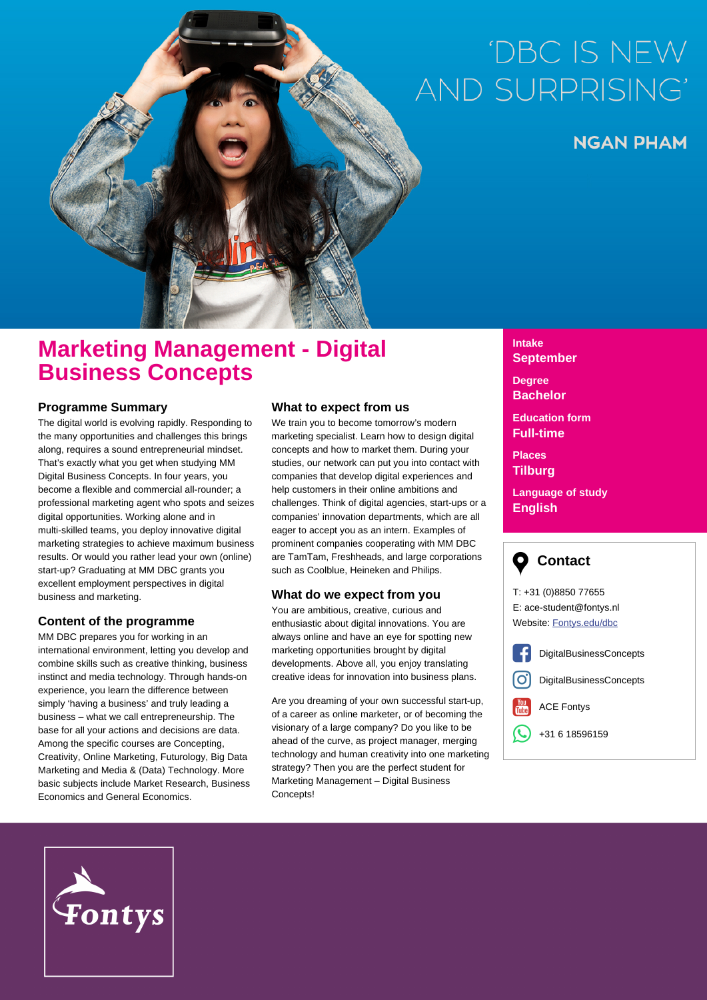# 'DBC IS NEW **AND SURPRISING**

**NGAN PHAM** 

# **Marketing Management - Digital Business Concepts**

### **Programme Summary**

The digital world is evolving rapidly. Responding to the many opportunities and challenges this brings along, requires a sound entrepreneurial mindset. That's exactly what you get when studying MM Digital Business Concepts. In four years, you become a flexible and commercial all-rounder; a professional marketing agent who spots and seizes digital opportunities. Working alone and in multi-skilled teams, you deploy innovative digital marketing strategies to achieve maximum business results. Or would you rather lead your own (online) start-up? Graduating at MM DBC grants you excellent employment perspectives in digital business and marketing.

## **Content of the programme**

MM DBC prepares you for working in an international environment, letting you develop and combine skills such as creative thinking, business instinct and media technology. Through hands-on experience, you learn the difference between simply 'having a business' and truly leading a business – what we call entrepreneurship. The base for all your actions and decisions are data. Among the specific courses are Concepting, Creativity, Online Marketing, Futurology, Big Data Marketing and Media & (Data) Technology. More basic subjects include Market Research, Business Economics and General Economics.

#### **What to expect from us**

We train you to become tomorrow's modern marketing specialist. Learn how to design digital concepts and how to market them. During your studies, our network can put you into contact with companies that develop digital experiences and help customers in their online ambitions and challenges. Think of digital agencies, start-ups or a companies' innovation departments, which are all eager to accept you as an intern. Examples of prominent companies cooperating with MM DBC are TamTam, Freshheads, and large corporations such as Coolblue, Heineken and Philips.

#### **What do we expect from you**

You are ambitious, creative, curious and enthusiastic about digital innovations. You are always online and have an eye for spotting new marketing opportunities brought by digital developments. Above all, you enjoy translating creative ideas for innovation into business plans.

Are you dreaming of your own successful start-up, of a career as online marketer, or of becoming the visionary of a large company? Do you like to be ahead of the curve, as project manager, merging technology and human creativity into one marketing strategy? Then you are the perfect student for Marketing Management – Digital Business Concepts!

#### **Intake September**

**Degree Bachelor**

**Education form Full-time**

**Places Tilburg**

**Language of study English**



T: +31 (0)8850 77655 E: ace-student@fontys.nl Website: [Fontys.edu/dbc](http://www.fontys.edu/dbc)